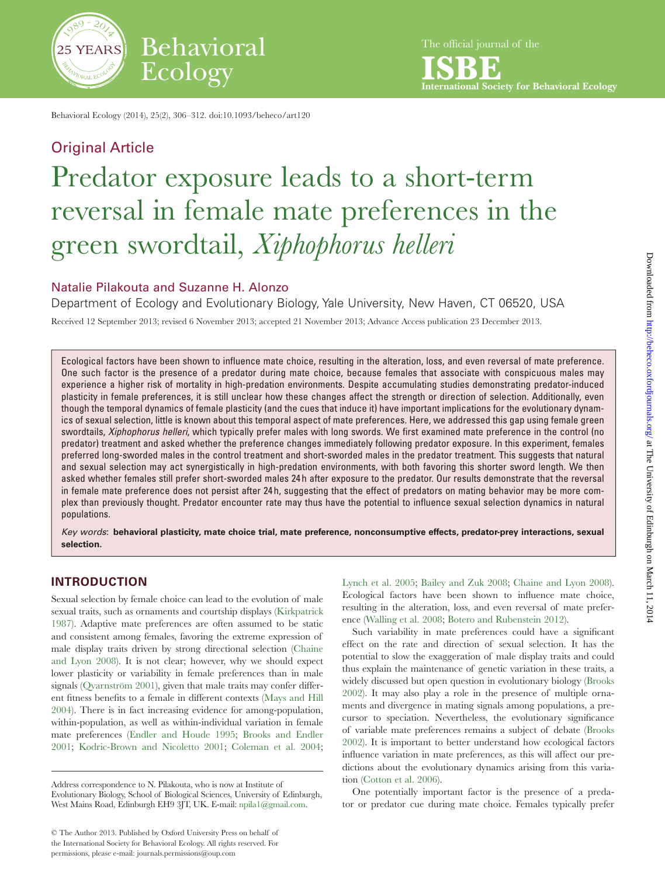

Behavioral Ecology (2014), 25(2), 306–312. doi:10.1093/beheco/art120

# Original Article

# Predator exposure leads to a short-term reversal in female mate preferences in the green swordtail, *Xiphophorus helleri*

# Natalie Pilakouta and Suzanne H. Alonzo

Department of Ecology and Evolutionary Biology, Yale University, New Haven, CT 06520, USA

Received 12 September 2013; revised 6 November 2013; accepted 21 November 2013; Advance Access publication 23 December 2013.

Ecological factors have been shown to influence mate choice, resulting in the alteration, loss, and even reversal of mate preference. One such factor is the presence of a predator during mate choice, because females that associate with conspicuous males may experience a higher risk of mortality in high-predation environments. Despite accumulating studies demonstrating predator-induced plasticity in female preferences, it is still unclear how these changes affect the strength or direction of selection. Additionally, even though the temporal dynamics of female plasticity (and the cues that induce it) have important implications for the evolutionary dynamics of sexual selection, little is known about this temporal aspect of mate preferences. Here, we addressed this gap using female green swordtails, *Xiphophorus helleri*, which typically prefer males with long swords. We first examined mate preference in the control (no predator) treatment and asked whether the preference changes immediately following predator exposure. In this experiment, females preferred long-sworded males in the control treatment and short-sworded males in the predator treatment. This suggests that natural and sexual selection may act synergistically in high-predation environments, with both favoring this shorter sword length. We then asked whether females still prefer short-sworded males 24 h after exposure to the predator. Our results demonstrate that the reversal in female mate preference does not persist after 24h, suggesting that the effect of predators on mating behavior may be more complex than previously thought. Predator encounter rate may thus have the potential to influence sexual selection dynamics in natural populations.

*Key words*: **behavioral plasticity, mate choice trial, mate preference, nonconsumptive effects, predator-prey interactions, sexual selection.**

# **Introduction**

Sexual selection by female choice can lead to the evolution of male sexual traits, such as ornaments and courtship displays [\(Kirkpatrick](#page-6-0)  [1987\)](#page-6-0). Adaptive mate preferences are often assumed to be static and consistent among females, favoring the extreme expression of male display traits driven by strong directional selection [\(Chaine](#page-6-1)  [and Lyon 2008\)](#page-6-1). It is not clear; however, why we should expect lower plasticity or variability in female preferences than in male signals ([Qvarnström 2001\)](#page-6-2), given that male traits may confer different fitness benefits to a female in different contexts [\(Mays and Hill](#page-6-3)  [2004\)](#page-6-3). There is in fact increasing evidence for among-population, within-population, as well as within-individual variation in female mate preferences ([Endler and Houde 1995](#page-6-4); [Brooks and Endler](#page-6-5)  [2001;](#page-6-5) [Kodric-Brown and Nicoletto 2001](#page-6-6); [Coleman et al. 2004;](#page-6-7)

© The Author 2013. Published by Oxford University Press on behalf of the International Society for Behavioral Ecology. All rights reserved. For permissions, please e-mail: journals.permissions@oup.com

[Lynch et al. 2005;](#page-6-8) [Bailey and Zuk 2008](#page-5-0); [Chaine and Lyon 2008](#page-6-1)). Ecological factors have been shown to influence mate choice, resulting in the alteration, loss, and even reversal of mate preference ([Walling et al. 2008](#page-6-9); [Botero and Rubenstein 2012\)](#page-6-10).

The official journal of the

**ISBE International Society for Behavioral Ecology**

Such variability in mate preferences could have a significant effect on the rate and direction of sexual selection. It has the potential to slow the exaggeration of male display traits and could thus explain the maintenance of genetic variation in these traits, a widely discussed but open question in evolutionary biology [\(Brooks](#page-6-11)  [2002\)](#page-6-11). It may also play a role in the presence of multiple ornaments and divergence in mating signals among populations, a precursor to speciation. Nevertheless, the evolutionary significance of variable mate preferences remains a subject of debate [\(Brooks](#page-6-11)  [2002\)](#page-6-11). It is important to better understand how ecological factors influence variation in mate preferences, as this will affect our predictions about the evolutionary dynamics arising from this variation ([Cotton et al. 2006\)](#page-6-12).

One potentially important factor is the presence of a predator or predator cue during mate choice. Females typically prefer

Address correspondence to N. Pilakouta, who is now at Institute of Evolutionary Biology, School of Biological Sciences, University of Edinburgh, West Mains Road, Edinburgh EH9 3JT, UK. E-mail: [npila1@gmail.com.](mailto:npila1@gmail.com)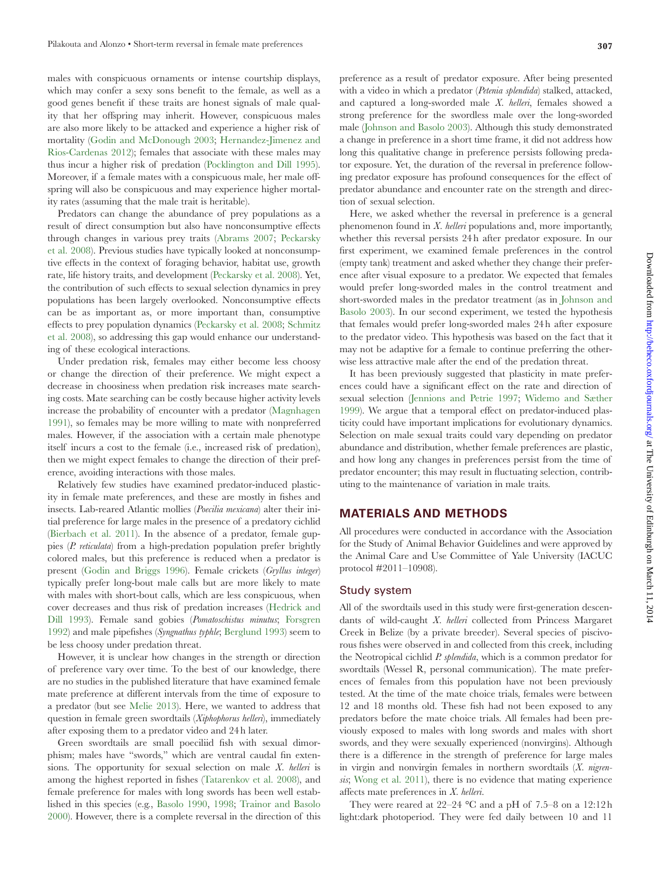males with conspicuous ornaments or intense courtship displays, which may confer a sexy sons benefit to the female, as well as a good genes benefit if these traits are honest signals of male quality that her offspring may inherit. However, conspicuous males are also more likely to be attacked and experience a higher risk of mortality ([Godin and McDonough 2003](#page-6-13); [Hernandez-Jimenez and](#page-6-14) [Rios-Cardenas 2012](#page-6-14)); females that associate with these males may thus incur a higher risk of predation ([Pocklington and Dill 1995\)](#page-6-15). Moreover, if a female mates with a conspicuous male, her male offspring will also be conspicuous and may experience higher mortality rates (assuming that the male trait is heritable).

Predators can change the abundance of prey populations as a result of direct consumption but also have nonconsumptive effects through changes in various prey traits ([Abrams 2007](#page-5-1); [Peckarsky](#page-6-16) [et al. 2008](#page-6-16)). Previous studies have typically looked at nonconsumptive effects in the context of foraging behavior, habitat use, growth rate, life history traits, and development [\(Peckarsky et al. 2008\)](#page-6-16). Yet, the contribution of such effects to sexual selection dynamics in prey populations has been largely overlooked. Nonconsumptive effects can be as important as, or more important than, consumptive effects to prey population dynamics ([Peckarsky et al. 2008](#page-6-16); [Schmitz](#page-6-17) [et al. 2008\)](#page-6-17), so addressing this gap would enhance our understanding of these ecological interactions.

Under predation risk, females may either become less choosy or change the direction of their preference. We might expect a decrease in choosiness when predation risk increases mate searching costs. Mate searching can be costly because higher activity levels increase the probability of encounter with a predator ([Magnhagen](#page-6-18) [1991\)](#page-6-18), so females may be more willing to mate with nonpreferred males. However, if the association with a certain male phenotype itself incurs a cost to the female (i.e., increased risk of predation), then we might expect females to change the direction of their preference, avoiding interactions with those males.

Relatively few studies have examined predator-induced plasticity in female mate preferences, and these are mostly in fishes and insects. Lab-reared Atlantic mollies (*Poecilia mexicana*) alter their initial preference for large males in the presence of a predatory cichlid ([Bierbach et al. 2011\)](#page-6-19). In the absence of a predator, female guppies (*P. reticulata*) from a high-predation population prefer brightly colored males, but this preference is reduced when a predator is present [\(Godin and Briggs 1996](#page-6-20)). Female crickets (*Gryllus integer*) typically prefer long-bout male calls but are more likely to mate with males with short-bout calls, which are less conspicuous, when cover decreases and thus risk of predation increases [\(Hedrick and](#page-6-21) [Dill 1993](#page-6-21)). Female sand gobies (*Pomatoschistus minutus*; [Forsgren](#page-6-22) [1992\)](#page-6-22) and male pipefishes (*Syngnathus typhle*; [Berglund 1993](#page-6-23)) seem to be less choosy under predation threat.

However, it is unclear how changes in the strength or direction of preference vary over time. To the best of our knowledge, there are no studies in the published literature that have examined female mate preference at different intervals from the time of exposure to a predator (but see [Melie 2013\)](#page-6-24). Here, we wanted to address that question in female green swordtails (*Xiphophorus helleri*), immediately after exposing them to a predator video and 24h later.

Green swordtails are small poeciliid fish with sexual dimorphism; males have "swords," which are ventral caudal fin extensions. The opportunity for sexual selection on male *X. helleri* is among the highest reported in fishes [\(Tatarenkov et al. 2008](#page-6-25)), and female preference for males with long swords has been well established in this species (e.g., [Basolo 1990](#page-5-2), [1998;](#page-5-3) [Trainor and Basolo](#page-6-26) [2000\)](#page-6-26). However, there is a complete reversal in the direction of this preference as a result of predator exposure. After being presented with a video in which a predator (*Petenia splendida*) stalked, attacked, and captured a long-sworded male *X. helleri*, females showed a strong preference for the swordless male over the long-sworded male ([Johnson and Basolo 2003\)](#page-6-27). Although this study demonstrated a change in preference in a short time frame, it did not address how long this qualitative change in preference persists following predator exposure. Yet, the duration of the reversal in preference following predator exposure has profound consequences for the effect of predator abundance and encounter rate on the strength and direction of sexual selection.

Here, we asked whether the reversal in preference is a general phenomenon found in *X. helleri* populations and, more importantly, whether this reversal persists 24h after predator exposure. In our first experiment, we examined female preferences in the control (empty tank) treatment and asked whether they change their preference after visual exposure to a predator. We expected that females would prefer long-sworded males in the control treatment and short-sworded males in the predator treatment (as in [Johnson and](#page-6-27) [Basolo 2003\)](#page-6-27). In our second experiment, we tested the hypothesis that females would prefer long-sworded males 24h after exposure to the predator video. This hypothesis was based on the fact that it may not be adaptive for a female to continue preferring the otherwise less attractive male after the end of the predation threat.

It has been previously suggested that plasticity in mate preferences could have a significant effect on the rate and direction of sexual selection [\(Jennions and Petrie 1997;](#page-6-28) [Widemo and Sæther](#page-6-29) [1999](#page-6-29)). We argue that a temporal effect on predator-induced plasticity could have important implications for evolutionary dynamics. Selection on male sexual traits could vary depending on predator abundance and distribution, whether female preferences are plastic, and how long any changes in preferences persist from the time of predator encounter; this may result in fluctuating selection, contributing to the maintenance of variation in male traits.

#### **Materials and Methods**

All procedures were conducted in accordance with the Association for the Study of Animal Behavior Guidelines and were approved by the Animal Care and Use Committee of Yale University (IACUC protocol #2011–10908).

#### Study system

All of the swordtails used in this study were first-generation descendants of wild-caught *X. helleri* collected from Princess Margaret Creek in Belize (by a private breeder). Several species of piscivorous fishes were observed in and collected from this creek, including the Neotropical cichlid *P. splendida*, which is a common predator for swordtails (Wessel R, personal communication). The mate preferences of females from this population have not been previously tested. At the time of the mate choice trials, females were between 12 and 18 months old. These fish had not been exposed to any predators before the mate choice trials. All females had been previously exposed to males with long swords and males with short swords, and they were sexually experienced (nonvirgins). Although there is a difference in the strength of preference for large males in virgin and nonvirgin females in northern swordtails (*X. nigrensis*; [Wong et al. 2011\)](#page-6-30), there is no evidence that mating experience affects mate preferences in *X. helleri*.

They were reared at  $22-24$  °C and a pH of 7.5–8 on a 12:12h light:dark photoperiod. They were fed daily between 10 and 11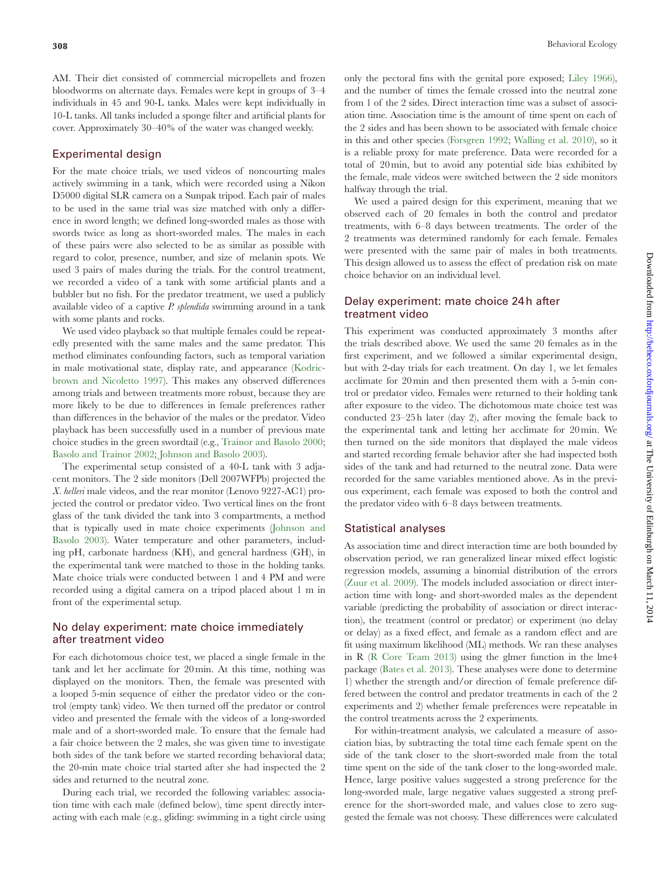AM. Their diet consisted of commercial micropellets and frozen bloodworms on alternate days. Females were kept in groups of 3–4 individuals in 45 and 90-L tanks. Males were kept individually in 10-L tanks. All tanks included a sponge filter and artificial plants for cover. Approximately 30–40% of the water was changed weekly.

#### Experimental design

For the mate choice trials, we used videos of noncourting males actively swimming in a tank, which were recorded using a Nikon D5000 digital SLR camera on a Sunpak tripod. Each pair of males to be used in the same trial was size matched with only a difference in sword length; we defined long-sworded males as those with swords twice as long as short-sworded males. The males in each of these pairs were also selected to be as similar as possible with regard to color, presence, number, and size of melanin spots. We used 3 pairs of males during the trials. For the control treatment, we recorded a video of a tank with some artificial plants and a bubbler but no fish. For the predator treatment, we used a publicly available video of a captive *P. splendida* swimming around in a tank with some plants and rocks.

We used video playback so that multiple females could be repeatedly presented with the same males and the same predator. This method eliminates confounding factors, such as temporal variation in male motivational state, display rate, and appearance ([Kodric](#page-6-31)[brown and Nicoletto 1997\)](#page-6-31). This makes any observed differences among trials and between treatments more robust, because they are more likely to be due to differences in female preferences rather than differences in the behavior of the males or the predator. Video playback has been successfully used in a number of previous mate choice studies in the green swordtail (e.g., [Trainor and Basolo 2000](#page-6-26); [Basolo and Trainor 2002;](#page-5-4) [Johnson and Basolo 2003\)](#page-6-27).

The experimental setup consisted of a 40-L tank with 3 adjacent monitors. The 2 side monitors (Dell 2007WFPb) projected the *X. helleri* male videos, and the rear monitor (Lenovo 9227-AC1) projected the control or predator video. Two vertical lines on the front glass of the tank divided the tank into 3 compartments, a method that is typically used in mate choice experiments [\(Johnson and](#page-6-27)  [Basolo 2003](#page-6-27)). Water temperature and other parameters, including pH, carbonate hardness (KH), and general hardness (GH), in the experimental tank were matched to those in the holding tanks. Mate choice trials were conducted between 1 and 4 PM and were recorded using a digital camera on a tripod placed about 1 m in front of the experimental setup.

## No delay experiment: mate choice immediately after treatment video

For each dichotomous choice test, we placed a single female in the tank and let her acclimate for 20min. At this time, nothing was displayed on the monitors. Then, the female was presented with a looped 5-min sequence of either the predator video or the control (empty tank) video. We then turned off the predator or control video and presented the female with the videos of a long-sworded male and of a short-sworded male. To ensure that the female had a fair choice between the 2 males, she was given time to investigate both sides of the tank before we started recording behavioral data; the 20-min mate choice trial started after she had inspected the 2 sides and returned to the neutral zone.

During each trial, we recorded the following variables: association time with each male (defined below), time spent directly interacting with each male (e.g., gliding: swimming in a tight circle using only the pectoral fins with the genital pore exposed; [Liley 1966](#page-6-32)), and the number of times the female crossed into the neutral zone from 1 of the 2 sides. Direct interaction time was a subset of association time. Association time is the amount of time spent on each of the 2 sides and has been shown to be associated with female choice in this and other species ([Forsgren 1992;](#page-6-22) [Walling et al. 2010\)](#page-6-33), so it is a reliable proxy for mate preference. Data were recorded for a total of 20min, but to avoid any potential side bias exhibited by the female, male videos were switched between the 2 side monitors halfway through the trial.

We used a paired design for this experiment, meaning that we observed each of 20 females in both the control and predator treatments, with 6–8 days between treatments. The order of the 2 treatments was determined randomly for each female. Females were presented with the same pair of males in both treatments. This design allowed us to assess the effect of predation risk on mate choice behavior on an individual level.

## Delay experiment: mate choice 24h after treatment video

This experiment was conducted approximately 3 months after the trials described above. We used the same 20 females as in the first experiment, and we followed a similar experimental design, but with 2-day trials for each treatment. On day 1, we let females acclimate for 20min and then presented them with a 5-min control or predator video. Females were returned to their holding tank after exposure to the video. The dichotomous mate choice test was conducted 23–25h later (day 2), after moving the female back to the experimental tank and letting her acclimate for 20min. We then turned on the side monitors that displayed the male videos and started recording female behavior after she had inspected both sides of the tank and had returned to the neutral zone. Data were recorded for the same variables mentioned above. As in the previous experiment, each female was exposed to both the control and the predator video with 6–8 days between treatments.

#### Statistical analyses

As association time and direct interaction time are both bounded by observation period, we ran generalized linear mixed effect logistic regression models, assuming a binomial distribution of the errors ([Zuur et al. 2009\)](#page-6-34). The models included association or direct interaction time with long- and short-sworded males as the dependent variable (predicting the probability of association or direct interaction), the treatment (control or predator) or experiment (no delay or delay) as a fixed effect, and female as a random effect and are fit using maximum likelihood (ML) methods. We ran these analyses in R ([R Core Team 2013\)](#page-6-35) using the glmer function in the lme4 package ([Bates et al. 2013\)](#page-5-5). These analyses were done to determine 1) whether the strength and/or direction of female preference differed between the control and predator treatments in each of the 2 experiments and 2) whether female preferences were repeatable in the control treatments across the 2 experiments.

For within-treatment analysis, we calculated a measure of association bias, by subtracting the total time each female spent on the side of the tank closer to the short-sworded male from the total time spent on the side of the tank closer to the long-sworded male. Hence, large positive values suggested a strong preference for the long-sworded male, large negative values suggested a strong preference for the short-sworded male, and values close to zero suggested the female was not choosy. These differences were calculated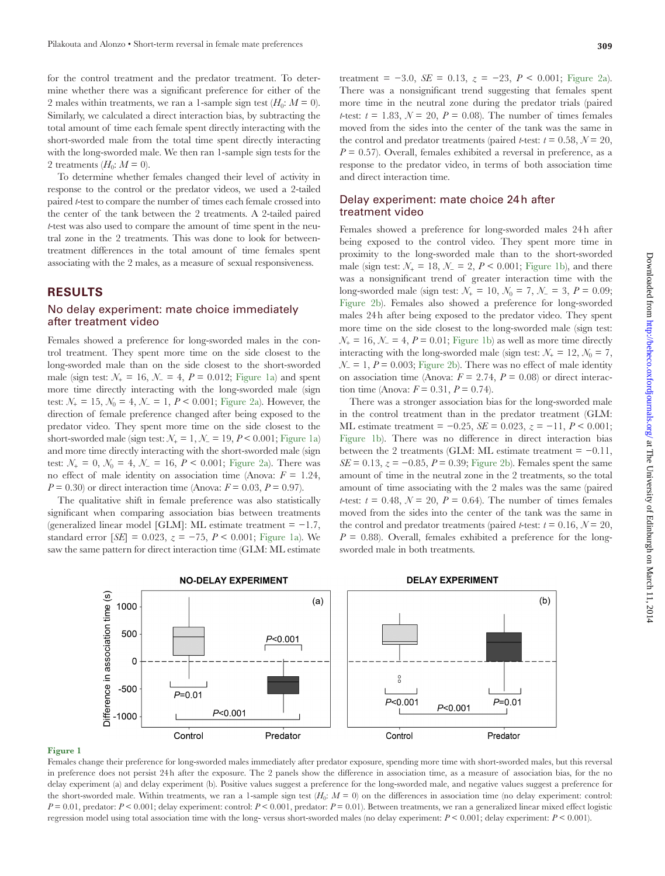for the control treatment and the predator treatment. To determine whether there was a significant preference for either of the 2 males within treatments, we ran a 1-sample sign test  $(H_0: M = 0)$ . Similarly, we calculated a direct interaction bias, by subtracting the total amount of time each female spent directly interacting with the short-sworded male from the total time spent directly interacting with the long-sworded male. We then ran 1-sample sign tests for the 2 treatments  $(H_0: M = 0)$ .

To determine whether females changed their level of activity in response to the control or the predator videos, we used a 2-tailed paired *t*-test to compare the number of times each female crossed into the center of the tank between the 2 treatments. A 2-tailed paired *t*-test was also used to compare the amount of time spent in the neutral zone in the 2 treatments. This was done to look for betweentreatment differences in the total amount of time females spent associating with the 2 males, as a measure of sexual responsiveness.

# **Results**

# No delay experiment: mate choice immediately after treatment video

Females showed a preference for long-sworded males in the control treatment. They spent more time on the side closest to the long-sworded male than on the side closest to the short-sworded male (sign test:  $N_+ = 16$ ,  $N_- = 4$ ,  $P = 0.012$ ; [Figure 1a](#page-3-0)) and spent more time directly interacting with the long-sworded male (sign test:  $N_+ = 15$ ,  $N_0 = 4$ ,  $N_-= 1$ ,  $P < 0.001$ ; [Figure 2a](#page-4-0)). However, the direction of female preference changed after being exposed to the predator video. They spent more time on the side closest to the short-sworded male (sign test: *N*+ = 1, *N*− = 19, *P* < 0.001; [Figure 1a](#page-3-0)) and more time directly interacting with the short-sworded male (sign test:  $N_+ = 0$ ,  $N_0 = 4$ ,  $N_- = 16$ ,  $P < 0.001$ ; Figure 2a). There was no effect of male identity on association time (Anova:  $F = 1.24$ , *P* = 0.30) or direct interaction time (Anova:  $F = 0.03$ ,  $P = 0.97$ ).

The qualitative shift in female preference was also statistically significant when comparing association bias between treatments (generalized linear model [GLM]: ML estimate treatment  $= -1.7$ , standard error [*SE*] = 0.023, *z* = −75, *P* < 0.001; [Figure 1a](#page-3-0)). We saw the same pattern for direct interaction time (GLM: ML estimate

treatment =  $-3.0$ , *SE* = 0.13,  $z = -23$ ,  $P < 0.001$ ; Figure 2a). There was a nonsignificant trend suggesting that females spent more time in the neutral zone during the predator trials (paired *t*-test:  $t = 1.83$ ,  $N = 20$ ,  $P = 0.08$ ). The number of times females moved from the sides into the center of the tank was the same in the control and predator treatments (paired *t*-test:  $t = 0.58$ ,  $\mathcal{N} = 20$ ,  $P = 0.57$ . Overall, females exhibited a reversal in preference, as a response to the predator video, in terms of both association time and direct interaction time.

#### Delay experiment: mate choice 24h after treatment video

Females showed a preference for long-sworded males 24h after being exposed to the control video. They spent more time in proximity to the long-sworded male than to the short-sworded male (sign test:  $N_+ = 18$ ,  $N_-= 2$ ,  $P < 0.001$ ; [Figure 1b\)](#page-3-0), and there was a nonsignificant trend of greater interaction time with the long-sworded male (sign test:  $N_{+} = 10$ ,  $N_{0} = 7$ ,  $N_{-} = 3$ ,  $P = 0.09$ ; [Figure 2b](#page-4-0)). Females also showed a preference for long-sworded males 24h after being exposed to the predator video. They spent more time on the side closest to the long-sworded male (sign test:  $N_+ = 16$ ,  $N_- = 4$ ,  $P = 0.01$ ; [Figure 1b](#page-3-0)) as well as more time directly interacting with the long-sworded male (sign test:  $N_+ = 12$ ,  $N_0 = 7$ ,  $N_$  = 1,  $P = 0.003$ ; [Figure 2b\)](#page-4-0). There was no effect of male identity on association time (Anova:  $F = 2.74$ ,  $P = 0.08$ ) or direct interaction time (Anova:  $F = 0.31, P = 0.74$ ).

There was a stronger association bias for the long-sworded male in the control treatment than in the predator treatment (GLM: ML estimate treatment = −0.25, *SE* = 0.023, *z* = −11, *P* < 0.001; [Figure 1b\)](#page-3-0). There was no difference in direct interaction bias between the 2 treatments (GLM: ML estimate treatment =  $-0.11$ , *SE* = 0.13,  $z = -0.85$ ,  $P = 0.39$ ; [Figure 2b\)](#page-4-0). Females spent the same amount of time in the neutral zone in the 2 treatments, so the total amount of time associating with the 2 males was the same (paired *t*-test:  $t = 0.48$ ,  $\mathcal{N} = 20$ ,  $P = 0.64$ ). The number of times females moved from the sides into the center of the tank was the same in the control and predator treatments (paired *t*-test:  $t = 0.16$ ,  $\mathcal{N} = 20$ ,  $P = 0.88$ ). Overall, females exhibited a preference for the longsworded male in both treatments.





#### <span id="page-3-0"></span>Figure 1

Females change their preference for long-sworded males immediately after predator exposure, spending more time with short-sworded males, but this reversal in preference does not persist 24h after the exposure. The 2 panels show the difference in association time, as a measure of association bias, for the no delay experiment (a) and delay experiment (b). Positive values suggest a preference for the long-sworded male, and negative values suggest a preference for the short-sworded male. Within treatments, we ran a 1-sample sign test  $(H_0: M = 0)$  on the differences in association time (no delay experiment: control: *P* = 0.01, predator: *P* < 0.001; delay experiment: control: *P* < 0.001, predator: *P* = 0.01). Between treatments, we ran a generalized linear mixed effect logistic regression model using total association time with the long- versus short-sworded males (no delay experiment: *P* < 0.001; delay experiment: *P* < 0.001).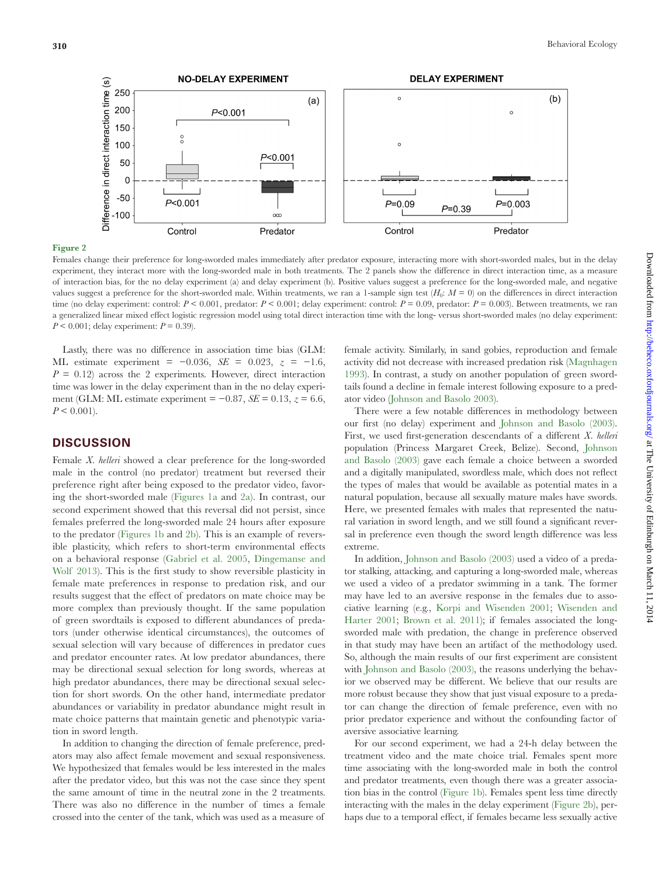

#### <span id="page-4-0"></span>Figure 2

Females change their preference for long-sworded males immediately after predator exposure, interacting more with short-sworded males, but in the delay experiment, they interact more with the long-sworded male in both treatments. The 2 panels show the difference in direct interaction time, as a measure of interaction bias, for the no delay experiment (a) and delay experiment (b). Positive values suggest a preference for the long-sworded male, and negative values suggest a preference for the short-sworded male. Within treatments, we ran a 1-sample sign test  $(H_0: M = 0)$  on the differences in direct interaction time (no delay experiment: control:  $P < 0.001$ , predator:  $P < 0.001$ ; delay experiment: control:  $P = 0.09$ , predator:  $P = 0.003$ ). Between treatments, we ran a generalized linear mixed effect logistic regression model using total direct interaction time with the long- versus short-sworded males (no delay experiment: *P* < 0.001; delay experiment: *P* = 0.39).

Lastly, there was no difference in association time bias (GLM: ML estimate experiment =  $-0.036$ , *SE* = 0.023,  $z = -1.6$ ,  $P = 0.12$ ) across the 2 experiments. However, direct interaction time was lower in the delay experiment than in the no delay experiment (GLM: ML estimate experiment =  $-0.87$ , *SE* = 0.13,  $z = 6.6$ ,  $P < 0.001$ ).

# **Discussion**

Female *X. helleri* showed a clear preference for the long-sworded male in the control (no predator) treatment but reversed their preference right after being exposed to the predator video, favoring the short-sworded male [\(Figures 1a](#page-3-0) and [2a\)](#page-4-0). In contrast, our second experiment showed that this reversal did not persist, since females preferred the long-sworded male 24 hours after exposure to the predator ([Figures 1b](#page-3-0) and [2b](#page-4-0)). This is an example of reversible plasticity, which refers to short-term environmental effects on a behavioral response ([Gabriel et al. 2005](#page-6-36), [Dingemanse and](#page-6-37)  [Wolf 2013\)](#page-6-37). This is the first study to show reversible plasticity in female mate preferences in response to predation risk, and our results suggest that the effect of predators on mate choice may be more complex than previously thought. If the same population of green swordtails is exposed to different abundances of predators (under otherwise identical circumstances), the outcomes of sexual selection will vary because of differences in predator cues and predator encounter rates. At low predator abundances, there may be directional sexual selection for long swords, whereas at high predator abundances, there may be directional sexual selection for short swords. On the other hand, intermediate predator abundances or variability in predator abundance might result in mate choice patterns that maintain genetic and phenotypic variation in sword length.

In addition to changing the direction of female preference, predators may also affect female movement and sexual responsiveness. We hypothesized that females would be less interested in the males after the predator video, but this was not the case since they spent the same amount of time in the neutral zone in the 2 treatments. There was also no difference in the number of times a female crossed into the center of the tank, which was used as a measure of female activity. Similarly, in sand gobies, reproduction and female activity did not decrease with increased predation risk ([Magnhagen](#page-6-38) [1993\)](#page-6-38). In contrast, a study on another population of green swordtails found a decline in female interest following exposure to a predator video ([Johnson and Basolo 2003\)](#page-6-27).

There were a few notable differences in methodology between our first (no delay) experiment and [Johnson and Basolo \(2003\)](#page-6-27). First, we used first-generation descendants of a different *X. helleri* population (Princess Margaret Creek, Belize). Second, [Johnson](#page-6-27) [and Basolo \(2003\)](#page-6-27) gave each female a choice between a sworded and a digitally manipulated, swordless male, which does not reflect the types of males that would be available as potential mates in a natural population, because all sexually mature males have swords. Here, we presented females with males that represented the natural variation in sword length, and we still found a significant reversal in preference even though the sword length difference was less extreme.

In addition, [Johnson and Basolo \(2003\)](#page-6-27) used a video of a predator stalking, attacking, and capturing a long-sworded male, whereas we used a video of a predator swimming in a tank. The former may have led to an aversive response in the females due to associative learning (e.g., [Korpi and Wisenden 2001](#page-6-39); [Wisenden and](#page-6-40) [Harter 2001](#page-6-40); [Brown et al. 2011\)](#page-6-41); if females associated the longsworded male with predation, the change in preference observed in that study may have been an artifact of the methodology used. So, although the main results of our first experiment are consistent with [Johnson and Basolo \(2003\)](#page-6-27), the reasons underlying the behavior we observed may be different. We believe that our results are more robust because they show that just visual exposure to a predator can change the direction of female preference, even with no prior predator experience and without the confounding factor of aversive associative learning.

For our second experiment, we had a 24-h delay between the treatment video and the mate choice trial. Females spent more time associating with the long-sworded male in both the control and predator treatments, even though there was a greater association bias in the control ([Figure 1b\)](#page-3-0). Females spent less time directly interacting with the males in the delay experiment ([Figure 2b\)](#page-4-0), perhaps due to a temporal effect, if females became less sexually active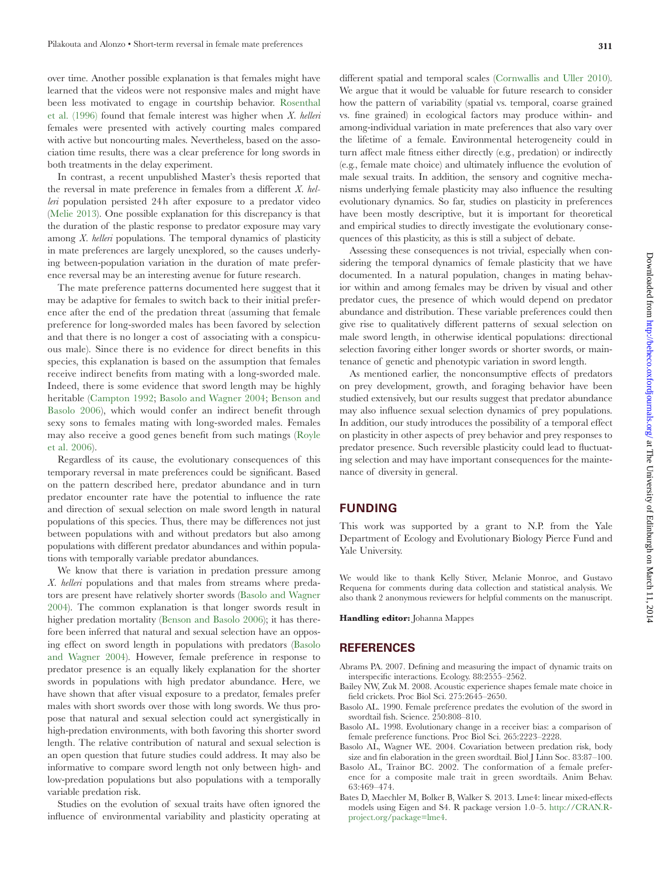over time. Another possible explanation is that females might have learned that the videos were not responsive males and might have been less motivated to engage in courtship behavior. [Rosenthal](#page-6-42) [et al. \(1996\)](#page-6-42) found that female interest was higher when *X. helleri* females were presented with actively courting males compared with active but noncourting males. Nevertheless, based on the association time results, there was a clear preference for long swords in both treatments in the delay experiment.

In contrast, a recent unpublished Master's thesis reported that the reversal in mate preference in females from a different *X. helleri* population persisted 24h after exposure to a predator video ([Melie 2013](#page-6-24)). One possible explanation for this discrepancy is that the duration of the plastic response to predator exposure may vary among *X. helleri* populations. The temporal dynamics of plasticity in mate preferences are largely unexplored, so the causes underlying between-population variation in the duration of mate preference reversal may be an interesting avenue for future research.

The mate preference patterns documented here suggest that it may be adaptive for females to switch back to their initial preference after the end of the predation threat (assuming that female preference for long-sworded males has been favored by selection and that there is no longer a cost of associating with a conspicuous male). Since there is no evidence for direct benefits in this species, this explanation is based on the assumption that females receive indirect benefits from mating with a long-sworded male. Indeed, there is some evidence that sword length may be highly heritable ([Campton 1992](#page-6-43); [Basolo and Wagner 2004](#page-5-6); [Benson and](#page-6-44) [Basolo 2006](#page-6-44)), which would confer an indirect benefit through sexy sons to females mating with long-sworded males. Females may also receive a good genes benefit from such matings ([Royle](#page-6-45) [et al. 2006](#page-6-45)).

Regardless of its cause, the evolutionary consequences of this temporary reversal in mate preferences could be significant. Based on the pattern described here, predator abundance and in turn predator encounter rate have the potential to influence the rate and direction of sexual selection on male sword length in natural populations of this species. Thus, there may be differences not just between populations with and without predators but also among populations with different predator abundances and within populations with temporally variable predator abundances.

We know that there is variation in predation pressure among *X. helleri* populations and that males from streams where predators are present have relatively shorter swords ([Basolo and Wagner](#page-5-6) [2004\)](#page-5-6). The common explanation is that longer swords result in higher predation mortality [\(Benson and Basolo 2006](#page-6-44)); it has therefore been inferred that natural and sexual selection have an opposing effect on sword length in populations with predators [\(Basolo](#page-5-6) [and Wagner 2004](#page-5-6)). However, female preference in response to predator presence is an equally likely explanation for the shorter swords in populations with high predator abundance. Here, we have shown that after visual exposure to a predator, females prefer males with short swords over those with long swords. We thus propose that natural and sexual selection could act synergistically in high-predation environments, with both favoring this shorter sword length. The relative contribution of natural and sexual selection is an open question that future studies could address. It may also be informative to compare sword length not only between high- and low-predation populations but also populations with a temporally variable predation risk.

Studies on the evolution of sexual traits have often ignored the influence of environmental variability and plasticity operating at different spatial and temporal scales ([Cornwallis and Uller 2010\)](#page-6-46). We argue that it would be valuable for future research to consider how the pattern of variability (spatial vs. temporal, coarse grained vs. fine grained) in ecological factors may produce within- and among-individual variation in mate preferences that also vary over the lifetime of a female. Environmental heterogeneity could in turn affect male fitness either directly (e.g., predation) or indirectly (e.g., female mate choice) and ultimately influence the evolution of male sexual traits. In addition, the sensory and cognitive mechanisms underlying female plasticity may also influence the resulting evolutionary dynamics. So far, studies on plasticity in preferences have been mostly descriptive, but it is important for theoretical and empirical studies to directly investigate the evolutionary consequences of this plasticity, as this is still a subject of debate.

Assessing these consequences is not trivial, especially when considering the temporal dynamics of female plasticity that we have documented. In a natural population, changes in mating behavior within and among females may be driven by visual and other predator cues, the presence of which would depend on predator abundance and distribution. These variable preferences could then give rise to qualitatively different patterns of sexual selection on male sword length, in otherwise identical populations: directional selection favoring either longer swords or shorter swords, or maintenance of genetic and phenotypic variation in sword length.

As mentioned earlier, the nonconsumptive effects of predators on prey development, growth, and foraging behavior have been studied extensively, but our results suggest that predator abundance may also influence sexual selection dynamics of prey populations. In addition, our study introduces the possibility of a temporal effect on plasticity in other aspects of prey behavior and prey responses to predator presence. Such reversible plasticity could lead to fluctuating selection and may have important consequences for the maintenance of diversity in general.

# **Funding**

This work was supported by a grant to N.P. from the Yale Department of Ecology and Evolutionary Biology Pierce Fund and Yale University.

We would like to thank Kelly Stiver, Melanie Monroe, and Gustavo Requena for comments during data collection and statistical analysis. We also thank 2 anonymous reviewers for helpful comments on the manuscript.

**Handling editor:** Johanna Mappes

#### **References**

- <span id="page-5-1"></span>Abrams PA. 2007. Defining and measuring the impact of dynamic traits on interspecific interactions. Ecology. 88:2555–2562.
- <span id="page-5-0"></span>Bailey NW, Zuk M. 2008. Acoustic experience shapes female mate choice in field crickets. Proc Biol Sci. 275:2645–2650.
- <span id="page-5-2"></span>Basolo AL. 1990. Female preference predates the evolution of the sword in swordtail fish. Science. 250:808–810.
- <span id="page-5-3"></span>Basolo AL. 1998. Evolutionary change in a receiver bias: a comparison of female preference functions. Proc Biol Sci. 265:2223–2228.
- <span id="page-5-6"></span>Basolo AL, Wagner WE. 2004. Covariation between predation risk, body size and fin elaboration in the green swordtail. Biol J Linn Soc. 83:87–100.
- <span id="page-5-4"></span>Basolo AL, Trainor BC. 2002. The conformation of a female preference for a composite male trait in green swordtails. Anim Behav. 63:469–474.
- <span id="page-5-5"></span>Bates D, Maechler M, Bolker B, Walker S. 2013. Lme4: linear mixed-effects models using Eigen and S4. R package version 1.0–5. [http://CRAN.R](http://CRAN.R-project.org/package=lme4)[project.org/package=lme4](http://CRAN.R-project.org/package=lme4).